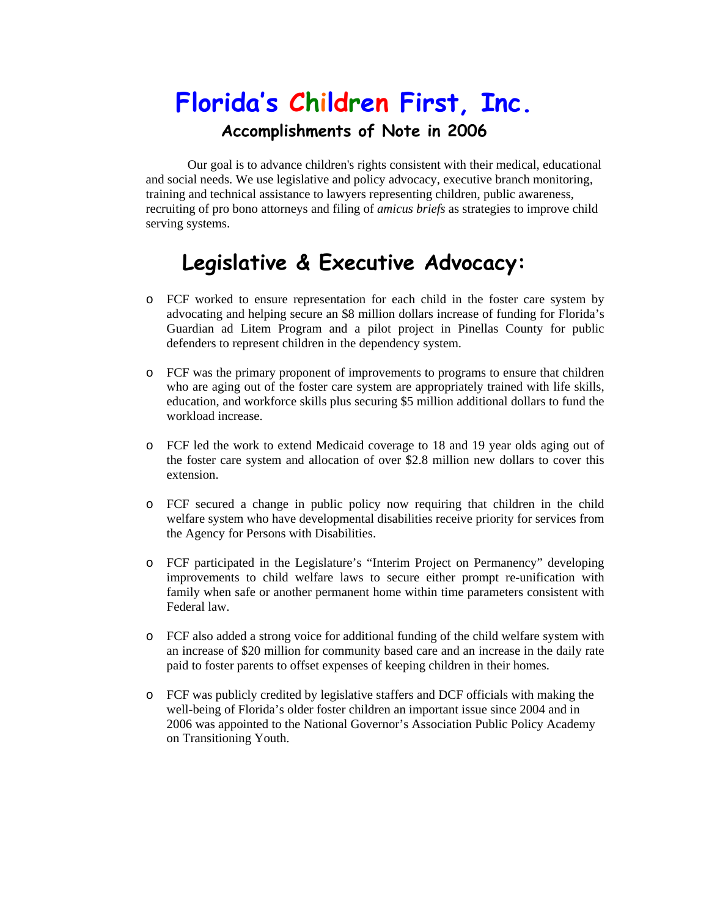# **Florida's Children First, Inc.**

#### **Accomplishments of Note in 2006**

Our goal is to advance children's rights consistent with their medical, educational and social needs. We use legislative and policy advocacy, executive branch monitoring, training and technical assistance to lawyers representing children, public awareness, recruiting of pro bono attorneys and filing of *amicus briefs* as strategies to improve child serving systems.

## **Legislative & Executive Advocacy:**

- o FCF worked to ensure representation for each child in the foster care system by advocating and helping secure an \$8 million dollars increase of funding for Florida's Guardian ad Litem Program and a pilot project in Pinellas County for public defenders to represent children in the dependency system.
- o FCF was the primary proponent of improvements to programs to ensure that children who are aging out of the foster care system are appropriately trained with life skills, education, and workforce skills plus securing \$5 million additional dollars to fund the workload increase.
- o FCF led the work to extend Medicaid coverage to 18 and 19 year olds aging out of the foster care system and allocation of over \$2.8 million new dollars to cover this extension.
- o FCF secured a change in public policy now requiring that children in the child welfare system who have developmental disabilities receive priority for services from the Agency for Persons with Disabilities.
- o FCF participated in the Legislature's "Interim Project on Permanency" developing improvements to child welfare laws to secure either prompt re-unification with family when safe or another permanent home within time parameters consistent with Federal law.
- o FCF also added a strong voice for additional funding of the child welfare system with an increase of \$20 million for community based care and an increase in the daily rate paid to foster parents to offset expenses of keeping children in their homes.
- o FCF was publicly credited by legislative staffers and DCF officials with making the well-being of Florida's older foster children an important issue since 2004 and in 2006 was appointed to the National Governor's Association Public Policy Academy on Transitioning Youth.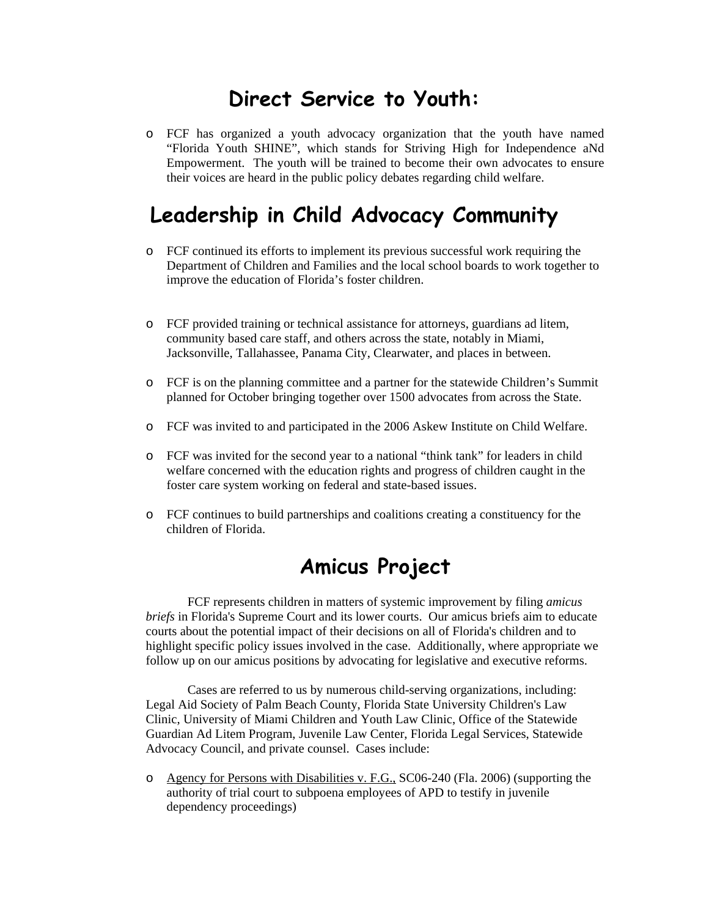#### **Direct Service to Youth:**

o FCF has organized a youth advocacy organization that the youth have named "Florida Youth SHINE", which stands for Striving High for Independence aNd Empowerment. The youth will be trained to become their own advocates to ensure their voices are heard in the public policy debates regarding child welfare.

#### **Leadership in Child Advocacy Community**

- o FCF continued its efforts to implement its previous successful work requiring the Department of Children and Families and the local school boards to work together to improve the education of Florida's foster children.
- o FCF provided training or technical assistance for attorneys, guardians ad litem, community based care staff, and others across the state, notably in Miami, Jacksonville, Tallahassee, Panama City, Clearwater, and places in between.
- o FCF is on the planning committee and a partner for the statewide Children's Summit planned for October bringing together over 1500 advocates from across the State.
- o FCF was invited to and participated in the 2006 Askew Institute on Child Welfare.
- o FCF was invited for the second year to a national "think tank" for leaders in child welfare concerned with the education rights and progress of children caught in the foster care system working on federal and state-based issues.
- o FCF continues to build partnerships and coalitions creating a constituency for the children of Florida.

### **Amicus Project**

 FCF represents children in matters of systemic improvement by filing *amicus briefs* in Florida's Supreme Court and its lower courts. Our amicus briefs aim to educate courts about the potential impact of their decisions on all of Florida's children and to highlight specific policy issues involved in the case. Additionally, where appropriate we follow up on our amicus positions by advocating for legislative and executive reforms.

Cases are referred to us by numerous child-serving organizations, including: Legal Aid Society of Palm Beach County, Florida State University Children's Law Clinic, University of Miami Children and Youth Law Clinic, Office of the Statewide Guardian Ad Litem Program, Juvenile Law Center, Florida Legal Services, Statewide Advocacy Council, and private counsel. Cases include:

o Agency for Persons with Disabilities v. F.G., SC06-240 (Fla. 2006) (supporting the authority of trial court to subpoena employees of APD to testify in juvenile dependency proceedings)